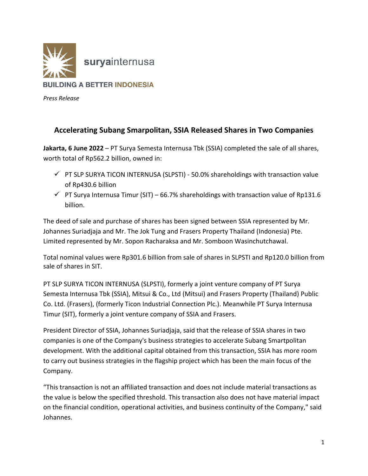

*Press Release*

## **Accelerating Subang Smarpolitan, SSIA Released Shares in Two Companies**

**Jakarta, 6 June 2022** – PT Surya Semesta Internusa Tbk (SSIA) completed the sale of all shares, worth total of Rp562.2 billion, owned in:

- $\checkmark$  PT SLP SURYA TICON INTERNUSA (SLPSTI) 50.0% shareholdings with transaction value of Rp430.6 billion
- $\checkmark$  PT Surya Internusa Timur (SIT) 66.7% shareholdings with transaction value of Rp131.6 billion.

The deed of sale and purchase of shares has been signed between SSIA represented by Mr. Johannes Suriadjaja and Mr. The Jok Tung and Frasers Property Thailand (Indonesia) Pte. Limited represented by Mr. Sopon Racharaksa and Mr. Somboon Wasinchutchawal.

Total nominal values were Rp301.6 billion from sale of shares in SLPSTI and Rp120.0 billion from sale of shares in SIT.

PT SLP SURYA TICON INTERNUSA (SLPSTI), formerly a joint venture company of PT Surya Semesta Internusa Tbk (SSIA), Mitsui & Co., Ltd (Mitsui) and Frasers Property (Thailand) Public Co. Ltd. (Frasers), (formerly Ticon Industrial Connection Plc.). Meanwhile PT Surya Internusa Timur (SIT), formerly a joint venture company of SSIA and Frasers.

President Director of SSIA, Johannes Suriadjaja, said that the release of SSIA shares in two companies is one of the Company's business strategies to accelerate Subang Smartpolitan development. With the additional capital obtained from this transaction, SSIA has more room to carry out business strategies in the flagship project which has been the main focus of the Company.

"This transaction is not an affiliated transaction and does not include material transactions as the value is below the specified threshold. This transaction also does not have material impact on the financial condition, operational activities, and business continuity of the Company," said Johannes.